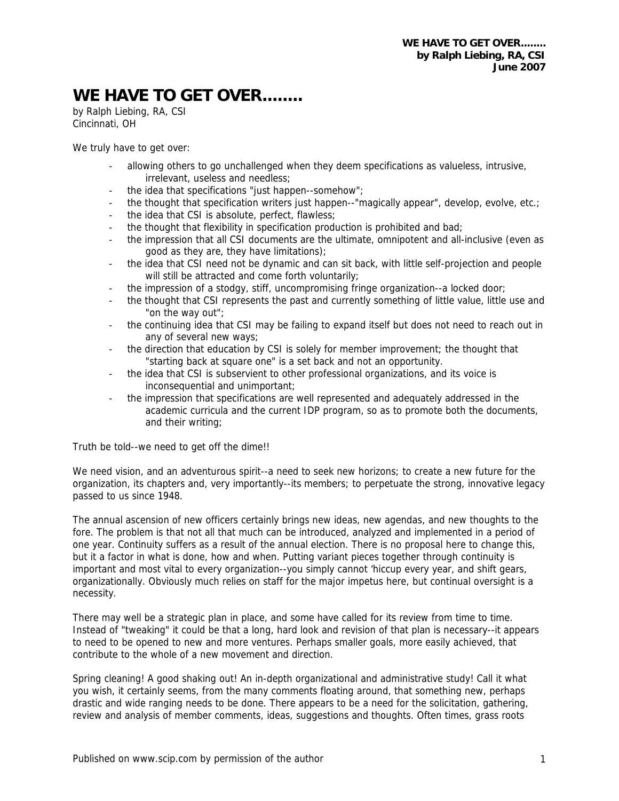## WE HAVE TO GET OVER........

by Ralph Liebing, RA, CSI Cincinnati, OH

We truly have to get over:

- allowing others to go unchallenged when they deem specifications as valueless, intrusive, irrelevant, useless and needless;
- the idea that specifications "just happen--somehow":
- the thought that specification writers just happen--"magically appear", develop, evolve, etc.;
- the idea that CSI is absolute, perfect, flawless;
- the thought that flexibility in specification production is prohibited and bad;
- the impression that all CSI documents are the ultimate, omnipotent and all-inclusive (even as good as they are, they have limitations);
- the idea that CSI need not be dynamic and can sit back, with little self-projection and people will still be attracted and come forth voluntarily;
- the impression of a stodgy, stiff, uncompromising fringe organization--a locked door;
- the thought that CSI represents the past and currently something of little value, little use and "on the way out";
- the continuing idea that CSI may be failing to expand itself but does not need to reach out in any of several new ways;
- the direction that education by CSI is solely for member improvement; the thought that "starting back at square one" is a set back and not an opportunity.
- the idea that CSI is subservient to other professional organizations, and its voice is inconsequential and unimportant;
- the impression that specifications are well represented and adequately addressed in the academic curricula and the current IDP program, so as to promote both the documents, and their writing;

Truth be told--we need to get off the dime!!

We need vision, and an adventurous spirit--a need to seek new horizons; to create a new future for the organization, its chapters and, very importantly--its members; to perpetuate the strong, innovative legacy passed to us since 1948.

The annual ascension of new officers certainly brings new ideas, new agendas, and new thoughts to the fore. The problem is that not all that much can be introduced, analyzed and implemented in a period of one year. Continuity suffers as a result of the annual election. There is no proposal here to change this, but it a factor in what is done, how and when. Putting variant pieces together through continuity is important and most vital to every organization--you simply cannot 'hiccup every year, and shift gears, organizationally. Obviously much relies on staff for the major impetus here, but continual oversight is a necessity.

There may well be a strategic plan in place, and some have called for its review from time to time. Instead of "tweaking" it could be that a long, hard look and revision of that plan is necessary--it appears to need to be opened to new and more ventures. Perhaps smaller goals, more easily achieved, that contribute to the whole of a new movement and direction.

Spring cleaning! A good shaking out! An in-depth organizational and administrative study! Call it what you wish, it certainly seems, from the many comments floating around, that something new, perhaps drastic and wide ranging needs to be done. There appears to be a need for the solicitation, gathering, review and analysis of member comments, ideas, suggestions and thoughts. Often times, grass roots